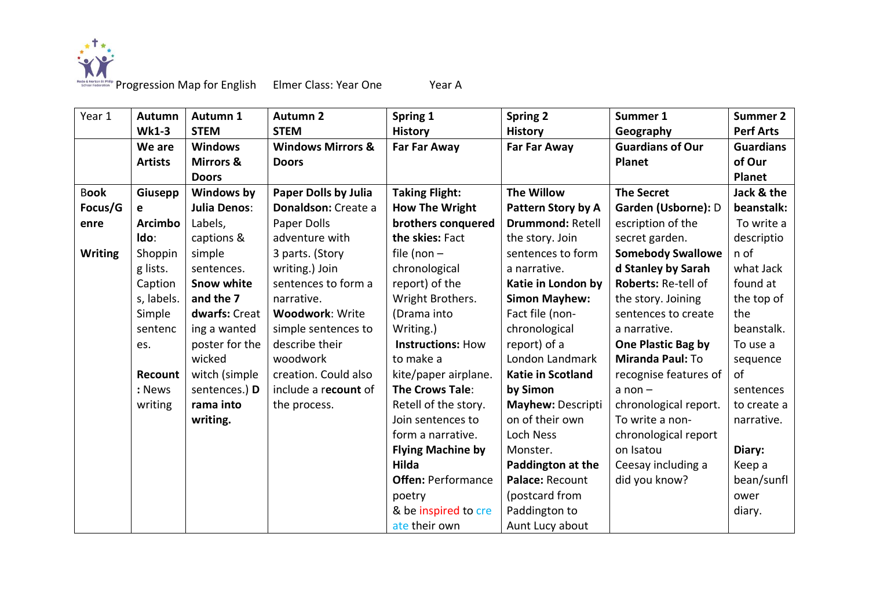

Roge & Notes is Primiting Progression Map for English Elmer Class: Year One Year A

| Year 1         | Autumn         | Autumn 1             | <b>Autumn 2</b>              | Spring 1                  | <b>Spring 2</b>          | Summer 1                  | <b>Summer 2</b>  |
|----------------|----------------|----------------------|------------------------------|---------------------------|--------------------------|---------------------------|------------------|
|                | <b>Wk1-3</b>   | <b>STEM</b>          | <b>STEM</b>                  | <b>History</b>            | <b>History</b>           | Geography                 | <b>Perf Arts</b> |
|                | We are         | <b>Windows</b>       | <b>Windows Mirrors &amp;</b> | <b>Far Far Away</b>       | <b>Far Far Away</b>      | <b>Guardians of Our</b>   | <b>Guardians</b> |
|                | <b>Artists</b> | <b>Mirrors &amp;</b> | <b>Doors</b>                 |                           |                          | <b>Planet</b>             | of Our           |
|                |                | <b>Doors</b>         |                              |                           |                          |                           | <b>Planet</b>    |
| <b>Book</b>    | Giusepp        | Windows by           | <b>Paper Dolls by Julia</b>  | <b>Taking Flight:</b>     | <b>The Willow</b>        | <b>The Secret</b>         | Jack & the       |
| Focus/G        | e              | <b>Julia Denos:</b>  | Donaldson: Create a          | <b>How The Wright</b>     | Pattern Story by A       | Garden (Usborne): D       | beanstalk:       |
| enre           | <b>Arcimbo</b> | Labels,              | Paper Dolls                  | brothers conquered        | <b>Drummond: Retell</b>  | escription of the         | To write a       |
|                | Ido:           | captions &           | adventure with               | the skies: Fact           | the story. Join          | secret garden.            | descriptio       |
| <b>Writing</b> | Shoppin        | simple               | 3 parts. (Story              | file (non $-$             | sentences to form        | <b>Somebody Swallowe</b>  | n of             |
|                | g lists.       | sentences.           | writing.) Join               | chronological             | a narrative.             | d Stanley by Sarah        | what Jack        |
|                | Caption        | <b>Snow white</b>    | sentences to form a          | report) of the            | Katie in London by       | Roberts: Re-tell of       | found at         |
|                | s, labels.     | and the 7            | narrative.                   | Wright Brothers.          | <b>Simon Mayhew:</b>     | the story. Joining        | the top of       |
|                | Simple         | dwarfs: Creat        | <b>Woodwork: Write</b>       | (Drama into               | Fact file (non-          | sentences to create       | the              |
|                | sentenc        | ing a wanted         | simple sentences to          | Writing.)                 | chronological            | a narrative.              | beanstalk.       |
|                | es.            | poster for the       | describe their               | <b>Instructions: How</b>  | report) of a             | <b>One Plastic Bag by</b> | To use a         |
|                |                | wicked               | woodwork                     | to make a                 | London Landmark          | Miranda Paul: To          | sequence         |
|                | Recount        | witch (simple        | creation. Could also         | kite/paper airplane.      | Katie in Scotland        | recognise features of     | of               |
|                | : News         | sentences.) D        | include a recount of         | <b>The Crows Tale:</b>    | by Simon                 | $a non -$                 | sentences        |
|                | writing        | rama into            | the process.                 | Retell of the story.      | <b>Mayhew: Descripti</b> | chronological report.     | to create a      |
|                |                | writing.             |                              | Join sentences to         | on of their own          | To write a non-           | narrative.       |
|                |                |                      |                              | form a narrative.         | Loch Ness                | chronological report      |                  |
|                |                |                      |                              | <b>Flying Machine by</b>  | Monster.                 | on Isatou                 | Diary:           |
|                |                |                      |                              | Hilda                     | Paddington at the        | Ceesay including a        | Keep a           |
|                |                |                      |                              | <b>Offen: Performance</b> | Palace: Recount          | did you know?             | bean/sunfl       |
|                |                |                      |                              | poetry                    | (postcard from           |                           | ower             |
|                |                |                      |                              | & be inspired to cre      | Paddington to            |                           | diary.           |
|                |                |                      |                              | ate their own             | Aunt Lucy about          |                           |                  |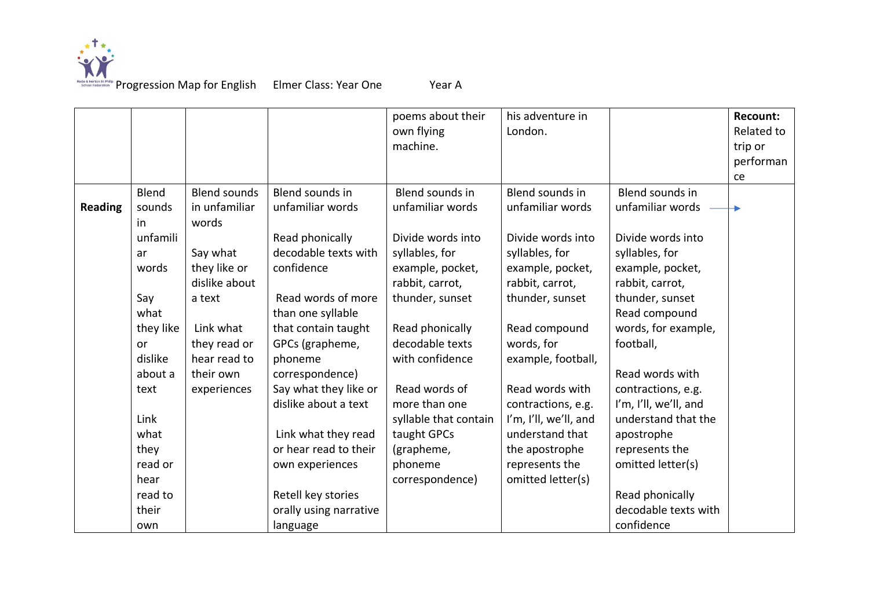

Progression Map for English Elmer Class: Year One Year A

poems about their own flying machine. his adventure in London. **Recount:** Related to trip or performan ce **Reading** Blend sounds in unfamili ar words Say what they like or dislike about a text Link what they read or hear read to their own Blend sounds in unfamiliar words Say what they like or dislike about a text Link what they read or hear read to their own experiences Blend sounds in unfamiliar words Read phonically decodable texts with confidence Read words of more than one syllable that contain taught GPCs (grapheme, phoneme correspondence) Say what they like or dislike about a text Link what they read or hear read to their own experiences Retell key stories orally using narrative language Blend sounds in unfamiliar words Divide words into syllables, for example, pocket, rabbit, carrot, thunder, sunset Read phonically decodable texts with confidence Read words of more than one syllable that contain taught GPCs (grapheme, phoneme correspondence) Blend sounds in unfamiliar words Divide words into syllables, for example, pocket, rabbit, carrot, thunder, sunset Read compound words, for example, football, Read words with contractions, e.g. I'm, I'll, we'll, and understand that the apostrophe represents the omitted letter(s) Blend sounds in unfamiliar words Divide words into syllables, for example, pocket, rabbit, carrot, thunder, sunset Read compound words, for example, football, Read words with contractions, e.g. I'm, I'll, we'll, and understand that the apostrophe represents the omitted letter(s) Read phonically decodable texts with confidence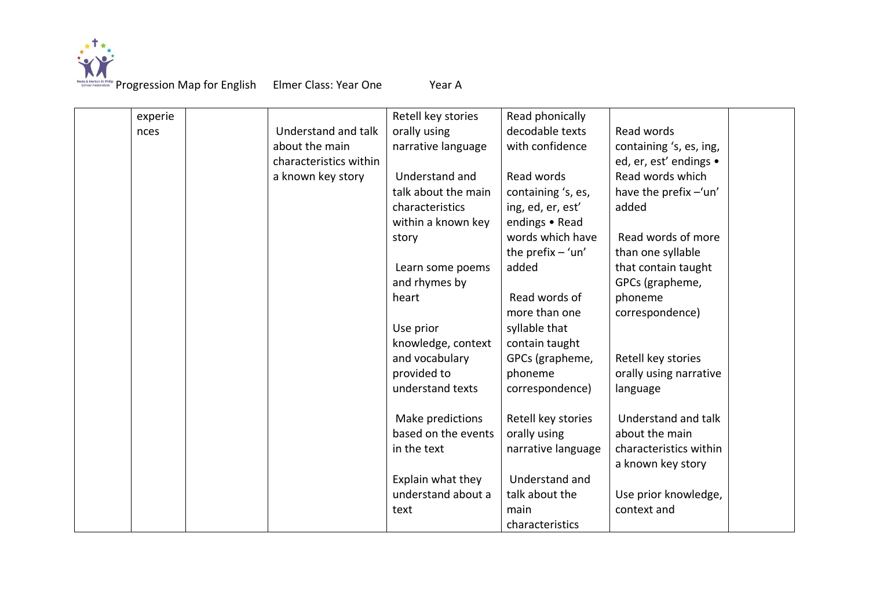

| experie |                        | Retell key stories  | Read phonically     |                         |
|---------|------------------------|---------------------|---------------------|-------------------------|
| nces    | Understand and talk    | orally using        | decodable texts     | Read words              |
|         | about the main         | narrative language  | with confidence     | containing 's, es, ing, |
|         | characteristics within |                     |                     | ed, er, est' endings •  |
|         | a known key story      | Understand and      | Read words          | Read words which        |
|         |                        | talk about the main | containing 's, es,  | have the prefix -'un'   |
|         |                        | characteristics     | ing, ed, er, est'   | added                   |
|         |                        | within a known key  | endings • Read      |                         |
|         |                        | story               | words which have    | Read words of more      |
|         |                        |                     | the prefix $-$ 'un' | than one syllable       |
|         |                        | Learn some poems    | added               | that contain taught     |
|         |                        | and rhymes by       |                     | GPCs (grapheme,         |
|         |                        | heart               | Read words of       | phoneme                 |
|         |                        |                     | more than one       | correspondence)         |
|         |                        | Use prior           | syllable that       |                         |
|         |                        | knowledge, context  | contain taught      |                         |
|         |                        | and vocabulary      | GPCs (grapheme,     | Retell key stories      |
|         |                        | provided to         | phoneme             | orally using narrative  |
|         |                        | understand texts    | correspondence)     | language                |
|         |                        |                     |                     |                         |
|         |                        | Make predictions    | Retell key stories  | Understand and talk     |
|         |                        | based on the events | orally using        | about the main          |
|         |                        | in the text         | narrative language  | characteristics within  |
|         |                        |                     |                     | a known key story       |
|         |                        |                     | Understand and      |                         |
|         |                        | Explain what they   |                     |                         |
|         |                        | understand about a  | talk about the      | Use prior knowledge,    |
|         |                        | text                | main                | context and             |
|         |                        |                     | characteristics     |                         |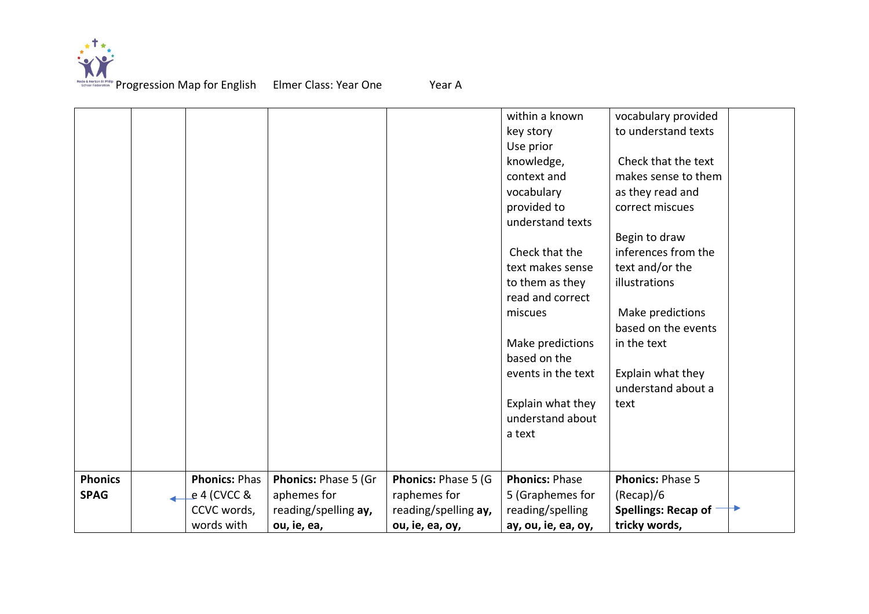

|                |                      |                      |                      | within a known        | vocabulary provided                     |
|----------------|----------------------|----------------------|----------------------|-----------------------|-----------------------------------------|
|                |                      |                      |                      | key story             | to understand texts                     |
|                |                      |                      |                      | Use prior             |                                         |
|                |                      |                      |                      | knowledge,            | Check that the text                     |
|                |                      |                      |                      | context and           | makes sense to them                     |
|                |                      |                      |                      | vocabulary            | as they read and                        |
|                |                      |                      |                      | provided to           | correct miscues                         |
|                |                      |                      |                      | understand texts      |                                         |
|                |                      |                      |                      |                       | Begin to draw                           |
|                |                      |                      |                      | Check that the        | inferences from the                     |
|                |                      |                      |                      | text makes sense      | text and/or the                         |
|                |                      |                      |                      | to them as they       | illustrations                           |
|                |                      |                      |                      | read and correct      |                                         |
|                |                      |                      |                      | miscues               | Make predictions                        |
|                |                      |                      |                      |                       | based on the events                     |
|                |                      |                      |                      | Make predictions      | in the text                             |
|                |                      |                      |                      | based on the          |                                         |
|                |                      |                      |                      | events in the text    | Explain what they<br>understand about a |
|                |                      |                      |                      | Explain what they     | text                                    |
|                |                      |                      |                      | understand about      |                                         |
|                |                      |                      |                      | a text                |                                         |
|                |                      |                      |                      |                       |                                         |
|                |                      |                      |                      |                       |                                         |
| <b>Phonics</b> | <b>Phonics: Phas</b> | Phonics: Phase 5 (Gr | Phonics: Phase 5 (G  | <b>Phonics: Phase</b> | <b>Phonics: Phase 5</b>                 |
| <b>SPAG</b>    | e 4 (CVCC &          | aphemes for          | raphemes for         | 5 (Graphemes for      | (Recap)/6                               |
|                | CCVC words,          | reading/spelling ay, | reading/spelling ay, | reading/spelling      | <b>Spellings: Recap of</b>              |
|                | words with           | ou, ie, ea,          | ou, ie, ea, oy,      | ay, ou, ie, ea, oy,   | tricky words,                           |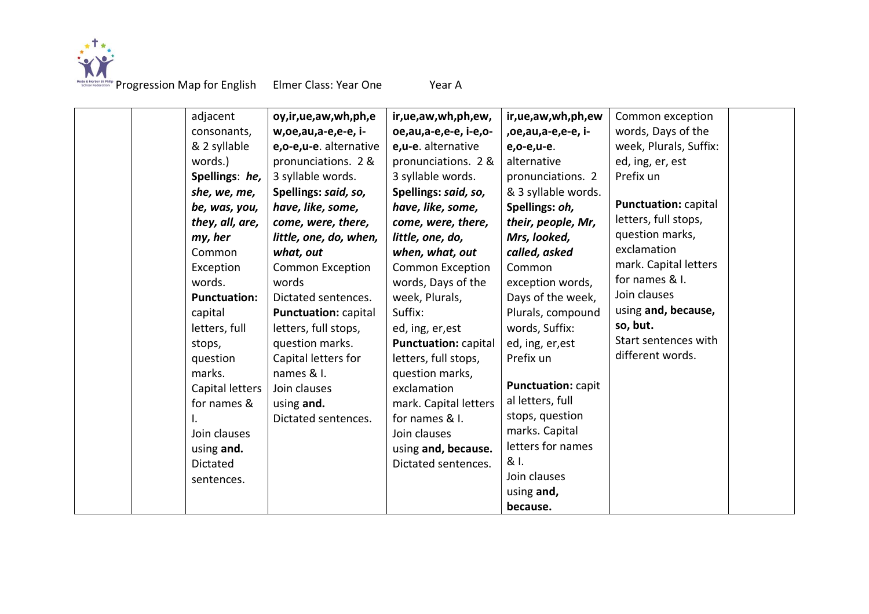

Roge & Notes is Primiting Progression Map for English Elmer Class: Year One Year A

| adjacent<br>consonants,<br>& 2 syllable<br>words.)<br>Spellings: he,<br>she, we, me,<br>be, was, you,<br>they, all, are,<br>my, her<br>Common<br>Exception<br>words.<br><b>Punctuation:</b><br>capital<br>letters, full<br>stops,<br>question<br>marks.<br>Capital letters<br>for names &<br>Join clauses<br>using and.<br>Dictated<br>sentences. | oy, ir, ue, aw, wh, ph, e<br>w, oe, au, a-e, e-e, i-<br>e,o-e,u-e. alternative<br>pronunciations. 2 &<br>3 syllable words.<br>Spellings: said, so,<br>have, like, some,<br>come, were, there,<br>little, one, do, when,<br>what, out<br><b>Common Exception</b><br>words<br>Dictated sentences.<br><b>Punctuation: capital</b><br>letters, full stops,<br>question marks.<br>Capital letters for<br>names & I.<br>Join clauses<br>using and.<br>Dictated sentences. | ir, ue, aw, wh, ph, ew,<br>oe,au,a-e,e-e, i-e,o-<br>e,u-e. alternative<br>pronunciations. 2 &<br>3 syllable words.<br>Spellings: said, so,<br>have, like, some,<br>come, were, there,<br>little, one, do,<br>when, what, out<br><b>Common Exception</b><br>words, Days of the<br>week, Plurals,<br>Suffix:<br>ed, ing, er, est<br><b>Punctuation: capital</b><br>letters, full stops,<br>question marks,<br>exclamation<br>mark. Capital letters<br>for names & I.<br>Join clauses<br>using and, because.<br>Dictated sentences. | ir, ue, aw, wh, ph, ew<br>,oe,au,a-e,e-e, i-<br>e,o-e,u-e.<br>alternative<br>pronunciations. 2<br>& 3 syllable words.<br>Spellings: oh,<br>their, people, Mr,<br>Mrs, looked,<br>called, asked<br>Common<br>exception words,<br>Days of the week,<br>Plurals, compound<br>words, Suffix:<br>ed, ing, er, est<br>Prefix un<br><b>Punctuation: capit</b><br>al letters, full<br>stops, question<br>marks. Capital<br>letters for names<br>& I. | Common exception<br>words, Days of the<br>week, Plurals, Suffix:<br>ed, ing, er, est<br>Prefix un<br><b>Punctuation: capital</b><br>letters, full stops,<br>question marks,<br>exclamation<br>mark. Capital letters<br>for names & I.<br>Join clauses<br>using and, because,<br>so, but.<br>Start sentences with<br>different words. |  |
|---------------------------------------------------------------------------------------------------------------------------------------------------------------------------------------------------------------------------------------------------------------------------------------------------------------------------------------------------|---------------------------------------------------------------------------------------------------------------------------------------------------------------------------------------------------------------------------------------------------------------------------------------------------------------------------------------------------------------------------------------------------------------------------------------------------------------------|----------------------------------------------------------------------------------------------------------------------------------------------------------------------------------------------------------------------------------------------------------------------------------------------------------------------------------------------------------------------------------------------------------------------------------------------------------------------------------------------------------------------------------|----------------------------------------------------------------------------------------------------------------------------------------------------------------------------------------------------------------------------------------------------------------------------------------------------------------------------------------------------------------------------------------------------------------------------------------------|--------------------------------------------------------------------------------------------------------------------------------------------------------------------------------------------------------------------------------------------------------------------------------------------------------------------------------------|--|
|---------------------------------------------------------------------------------------------------------------------------------------------------------------------------------------------------------------------------------------------------------------------------------------------------------------------------------------------------|---------------------------------------------------------------------------------------------------------------------------------------------------------------------------------------------------------------------------------------------------------------------------------------------------------------------------------------------------------------------------------------------------------------------------------------------------------------------|----------------------------------------------------------------------------------------------------------------------------------------------------------------------------------------------------------------------------------------------------------------------------------------------------------------------------------------------------------------------------------------------------------------------------------------------------------------------------------------------------------------------------------|----------------------------------------------------------------------------------------------------------------------------------------------------------------------------------------------------------------------------------------------------------------------------------------------------------------------------------------------------------------------------------------------------------------------------------------------|--------------------------------------------------------------------------------------------------------------------------------------------------------------------------------------------------------------------------------------------------------------------------------------------------------------------------------------|--|